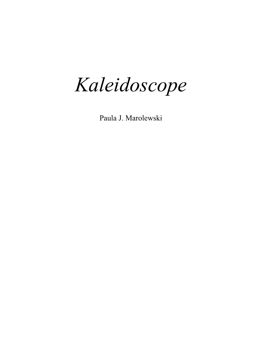*Kaleidoscope* 

Paula J. Marolewski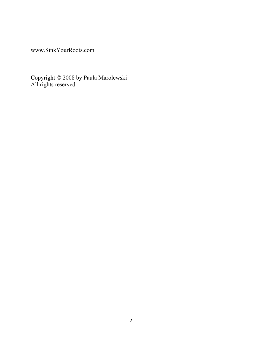www.SinkYourRoots.com

Copyright © 2008 by Paula Marolewski All rights reserved.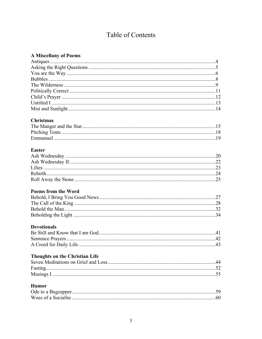# Table of Contents

|  | <b>A Miscellany of Poems</b> |  |  |  |
|--|------------------------------|--|--|--|
|--|------------------------------|--|--|--|

| <b>Christmas</b>                      |  |
|---------------------------------------|--|
|                                       |  |
|                                       |  |
|                                       |  |
|                                       |  |
| <b>Easter</b>                         |  |
|                                       |  |
|                                       |  |
|                                       |  |
|                                       |  |
|                                       |  |
|                                       |  |
| <b>Poems from the Word</b>            |  |
|                                       |  |
|                                       |  |
|                                       |  |
|                                       |  |
|                                       |  |
| <b>Devotionals</b>                    |  |
|                                       |  |
|                                       |  |
|                                       |  |
|                                       |  |
| <b>Thoughts on the Christian Life</b> |  |
|                                       |  |
|                                       |  |
|                                       |  |
|                                       |  |
| <b>Humor</b>                          |  |
|                                       |  |
|                                       |  |
|                                       |  |
|                                       |  |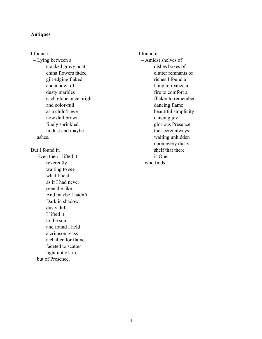#### **Antiques**

I found it. – Lying between a cracked gravy boat china flowers faded gilt edging flaked and a bowl of dusty marbles each globe once bright and color-full as a child's eye now dull brown finely sprinkled in dust and maybe ashes. But I found it. – Even then I lifted it reverently waiting to see what I held as if I had never seen the like. And maybe I hadn't. Dark in shadow dusty dull I lifted it to the sun and found I held a crimson glass a chalice for flame faceted to scatter light not of fire but of Presence.

I found it. – Amidst shelves of dishes boxes of clutter remnants of riches I found a lamp to realize a fire to comfort a flicker to remember dancing flame beautiful simplicity dancing joy glorious Presence the secret always waiting unhidden upon every dusty shelf that there is One who finds.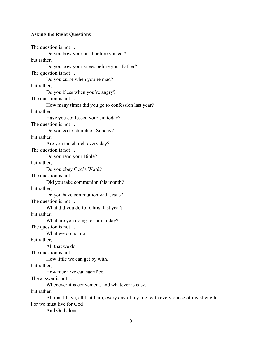## **Asking the Right Questions**

The question is not . . . Do you bow your head before you eat? but rather, Do you bow your knees before your Father? The question is not . . . Do you curse when you're mad? but rather, Do you bless when you're angry? The question is not . . . How many times did you go to confession last year? but rather, Have you confessed your sin today? The question is not . . . Do you go to church on Sunday? but rather, Are you the church every day? The question is not . . . Do you read your Bible? but rather, Do you obey God's Word? The question is not . . . Did you take communion this month? but rather, Do you have communion with Jesus? The question is not . . . What did you do for Christ last year? but rather, What are you doing for him today? The question is not . . . What we do not do. but rather, All that we do. The question is not . . . How little we can get by with. but rather, How much we can sacrifice. The answer is not ... Whenever it is convenient, and whatever is easy. but rather, All that I have, all that I am, every day of my life, with every ounce of my strength. For we must live for God –

And God alone.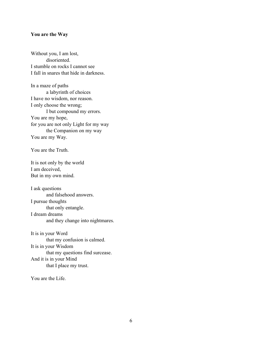#### **You are the Way**

Without you, I am lost, disoriented. I stumble on rocks I cannot see I fall in snares that hide in darkness.

In a maze of paths a labyrinth of choices I have no wisdom, nor reason. I only choose the wrong; I but compound my errors. You are my hope, for you are not only Light for my way the Companion on my way You are my Way.

You are the Truth.

It is not only by the world I am deceived, But in my own mind.

I ask questions and falsehood answers. I pursue thoughts that only entangle. I dream dreams and they change into nightmares.

It is in your Word that my confusion is calmed. It is in your Wisdom that my questions find surcease. And it is in your Mind that I place my trust.

You are the Life.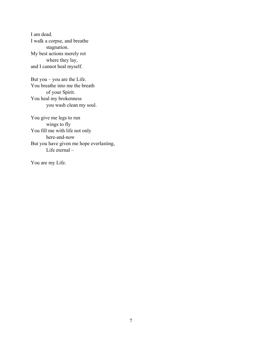I am dead. I walk a corpse, and breathe stagnation. My best actions merely rot where they lay, and I cannot heal myself.

But you – you are the Life. You breathe into me the breath of your Spirit. You heal my brokenness you wash clean my soul.

You give me legs to run wings to fly You fill me with life not only here-and-now But you have given me hope everlasting, Life eternal –

You are my Life.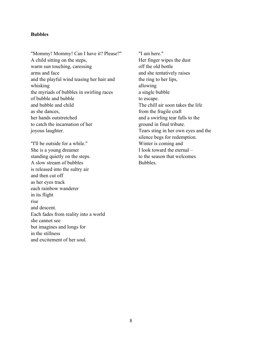## **Bubbles**

"Mommy! Mommy! Can I have it? Please?" A child sitting on the steps, warm sun touching, caressing arms and face and the playful wind teasing her hair and whisking the myriads of bubbles in swirling races of bubble and bubble and bubble and child as she dances, her hands outstretched to catch the incarnation of her joyous laughter.

"I'll be outside for a while." She is a young dreamer standing quietly on the steps. A slow stream of bubbles is released into the sultry air and then cut off as her eyes track each rainbow wanderer in its flight rise and descent. Each fades from reality into a world she cannot see but imagines and longs for in the stillness and excitement of her soul.

"I am here." Her finger wipes the dust off the old bottle and she tentatively raises the ring to her lips, allowing a single bubble to escape. The chill air soon takes the life from the fragile craft and a swirling tear falls to the ground in final tribute. Tears sting in her own eyes and the silence begs for redemption. Winter is coming and I look toward the eternal – to the season that welcomes Bubbles.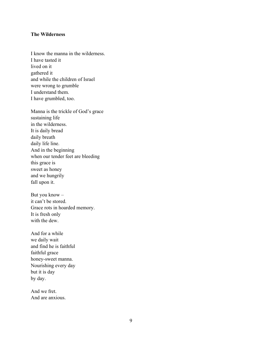#### **The Wilderness**

I know the manna in the wilderness. I have tasted it lived on it gathered it and while the children of Israel were wrong to grumble I understand them. I have grumbled, too.

Manna is the trickle of God's grace sustaining life in the wilderness. It is daily bread daily breath daily life line. And in the beginning when our tender feet are bleeding this grace is sweet as honey and we hungrily fall upon it.

But you know – it can't be stored. Grace rots in hoarded memory. It is fresh only with the dew

And for a while we daily wait and find he is faithful faithful grace honey-sweet manna. Nourishing every day but it is day by day.

And we fret. And are anxious.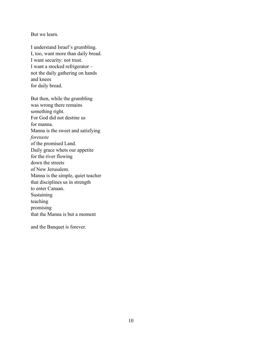But we learn.

I understand Israel's grumbling. I, too, want more than daily bread. I want security: not trust. I want a stocked refrigerator – not the daily gathering on hands and knees for daily bread.

But then, while the grumbling was wrong there remains something right. For God did not destine us for manna. Manna is the sweet and satisfying *foretaste* of the promised Land. Daily grace whets our appetite for the river flowing down the streets of New Jerusalem. Manna is the simple, quiet teacher that disciplines us in strength to enter Canaan. Sustaining teaching promising that the Manna is but a moment

and the Banquet is forever.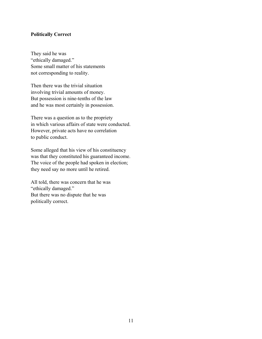## **Politically Correct**

They said he was "ethically damaged." Some small matter of his statements not corresponding to reality.

Then there was the trivial situation involving trivial amounts of money. But possession is nine-tenths of the law and he was most certainly in possession.

There was a question as to the propriety in which various affairs of state were conducted. However, private acts have no correlation to public conduct.

Some alleged that his view of his constituency was that they constituted his guaranteed income. The voice of the people had spoken in election; they need say no more until he retired.

All told, there was concern that he was "ethically damaged." But there was no dispute that he was politically correct.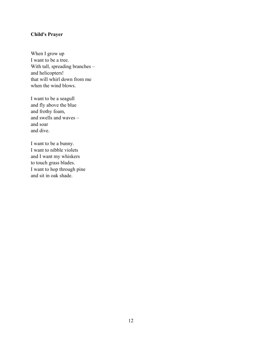# **Child's Prayer**

When I grow up I want to be a tree. With tall, spreading branches – and helicopters! that will whirl down from me when the wind blows.

I want to be a seagull and fly above the blue and frothy foam, and swells and waves – and soar and dive.

I want to be a bunny. I want to nibble violets and I want my whiskers to touch grass blades. I want to hop through pine and sit in oak shade.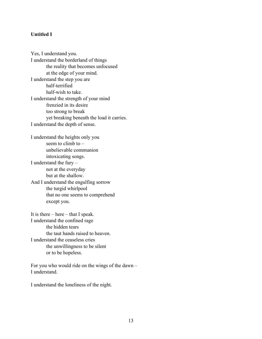# **Untitled I**

Yes, I understand you. I understand the borderland of things the reality that becomes unfocused at the edge of your mind. I understand the step you are half-terrified half-wish to take. I understand the strength of your mind frenzied in its desire too strong to break yet breaking beneath the load it carries. I understand the depth of sense. I understand the heights only you seem to climb to  $$ unbelievable communion intoxicating songs.

I understand the fury – not at the everyday but at the shallow. And I understand the engulfing sorrow

the turgid whirlpool that no one seems to comprehend except you.

It is there – here – that I speak. I understand the confined rage the hidden tears the taut hands raised to heaven. I understand the ceaseless cries the unwillingness to be silent or to be hopeless.

For you who would ride on the wings of the dawn – I understand.

I understand the loneliness of the night.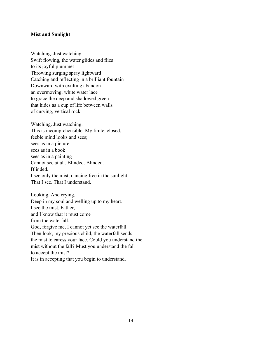#### **Mist and Sunlight**

Watching. Just watching. Swift flowing, the water glides and flies to its joyful plummet Throwing surging spray lightward Catching and reflecting in a brilliant fountain Downward with exulting abandon an evermoving, white water lace to grace the deep and shadowed green that hides as a cup of life between walls of curving, vertical rock.

Watching. Just watching. This is incomprehensible. My finite, closed, feeble mind looks and sees; sees as in a picture sees as in a book sees as in a painting Cannot see at all. Blinded. Blinded. Blinded. I see only the mist, dancing free in the sunlight. That I see. That I understand.

Looking. And crying. Deep in my soul and welling up to my heart. I see the mist, Father, and I know that it must come from the waterfall. God, forgive me, I cannot yet see the waterfall. Then look, my precious child, the waterfall sends the mist to caress your face. Could you understand the mist without the fall? Must you understand the fall to accept the mist? It is in accepting that you begin to understand.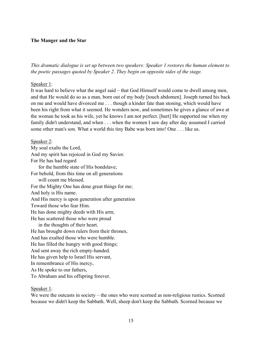# **The Manger and the Star**

*This dramatic dialogue is set up between two speakers: Speaker 1 restores the human element to the poetic passages quoted by Speaker 2. They begin on opposite sides of the stage.*

## Speaker 1:

It was hard to believe what the angel said – that God Himself would come to dwell among men, and that He would do so as a man, born out of my body [touch abdomen]. Joseph turned his back on me and would have divorced me . . . though a kinder fate than stoning, which would have been his right from what it seemed. He wonders now, and sometimes he gives a glance of awe at the woman he took as his wife, yet he knows I am not perfect. [hurt] He supported me when my family didn't understand, and when . . . when the women I saw day after day assumed I carried some other man's son. What a world this tiny Babe was born into! One . . . like us.

## Speaker 2:

My soul exalts the Lord, And my spirit has rejoiced in God my Savior. For He has had regard for the humble state of His bondslave; For behold, from this time on all generations will count me blessed. For the Mighty One has done great things for me; And holy is His name. And His mercy is upon generation after generation Toward those who fear Him. He has done mighty deeds with His arm; He has scattered those who were proud in the thoughts of their heart. He has brought down rulers from their thrones, And has exalted those who were humble. He has filled the hungry with good things; And sent away the rich empty-handed. He has given help to Israel His servant, In remembrance of His mercy, As He spoke to our fathers, To Abraham and his offspring forever.

## Speaker 1:

We were the outcasts in society – the ones who were scorned as non-religious rustics. Scorned because we didn't keep the Sabbath. Well, sheep don't keep the Sabbath. Scorned because we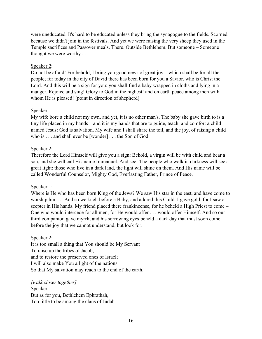were uneducated. It's hard to be educated unless they bring the synagogue to the fields. Scorned because we didn't join in the festivals. And yet we were raising the very sheep they used in the Temple sacrifices and Passover meals. There. Outside Bethlehem. But someone – Someone thought we were worthy . . .

# Speaker 2:

Do not be afraid! For behold, I bring you good news of great joy – which shall be for all the people; for today in the city of David there has been born for you a Savior, who is Christ the Lord. And this will be a sign for you: you shall find a baby wrapped in cloths and lying in a manger. Rejoice and sing! Glory to God in the highest! and on earth peace among men with whom He is pleased! [point in direction of shepherd]

# Speaker 1:

My wife bore a child not my own, and yet, it is no other man's. The baby she gave birth to is a tiny life placed in my hands – and it is my hands that are to guide, teach, and comfort a child named Jesus: God is salvation. My wife and I shall share the toil, and the joy, of raising a child who is . . . and shall ever be [wonder] . . . the Son of God.

# Speaker 2:

Therefore the Lord Himself will give you a sign: Behold, a virgin will be with child and bear a son, and she will call His name Immanuel. And see! The people who walk in darkness will see a great light; those who live in a dark land, the light will shine on them. And His name will be called Wonderful Counselor, Mighty God, Everlasting Father, Prince of Peace.

# Speaker 1:

Where is He who has been born King of the Jews? We saw His star in the east, and have come to worship him … And so we knelt before a Baby, and adored this Child. I gave gold, for I saw a scepter in His hands. My friend placed there frankincense, for he beheld a High Priest to come – One who would intercede for all men, for He would offer . . . would offer Himself. And so our third companion gave myrrh, and his sorrowing eyes beheld a dark day that must soon come – before the joy that we cannot understand, but look for.

# Speaker 2:

It is too small a thing that You should be My Servant To raise up the tribes of Jacob, and to restore the preserved ones of Israel; I will also make You a light of the nations So that My salvation may reach to the end of the earth.

*[walk closer together]*

Speaker 1: But as for you, Bethlehem Ephrathah, Too little to be among the clans of Judah –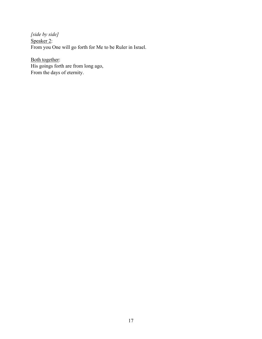*[side by side]* Speaker 2: From you One will go forth for Me to be Ruler in Israel.

Both together: His goings forth are from long ago, From the days of eternity.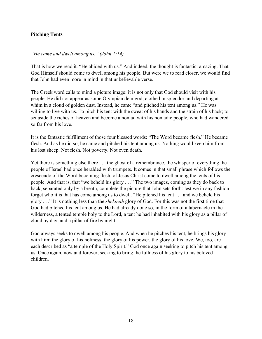# **Pitching Tents**

# *"He came and dwelt among us." (John 1:14)*

That is how we read it. "He abided with us." And indeed, the thought is fantastic: amazing. That God Himself should come to dwell among his people. But were we to read closer, we would find that John had even more in mind in that unbelievable verse.

The Greek word calls to mind a picture image: it is not only that God should visit with his people. He did not appear as some Olympian demigod, clothed in splendor and departing at whim in a cloud of golden dust. Instead, he came "and pitched his tent among us." He was willing to live with us. To pitch his tent with the sweat of his hands and the strain of his back; to set aside the riches of heaven and become a nomad with his nomadic people, who had wandered so far from his love.

It is the fantastic fulfillment of those four blessed words: "The Word became flesh." He became flesh. And as he did so, he came and pitched his tent among us. Nothing would keep him from his lost sheep. Not flesh. Not poverty. Not even death.

Yet there is something else there . . . the ghost of a remembrance, the whisper of everything the people of Israel had once heralded with trumpets. It comes in that small phrase which follows the crescendo of the Word becoming flesh, of Jesus Christ come to dwell among the tents of his people. And that is, that "we beheld his glory . . ." The two images, coming as they do back to back, separated only by a breath, complete the picture that John sets forth: lest we in any fashion forget who it is that has come among us to dwell. "He pitched his tent . . . and we beheld his glory . . ." It is nothing less than the *shekinah* glory of God. For this was not the first time that God had pitched his tent among us. He had already done so, in the form of a tabernacle in the wilderness, a tented temple holy to the Lord, a tent he had inhabited with his glory as a pillar of cloud by day, and a pillar of fire by night.

God always seeks to dwell among his people. And when he pitches his tent, he brings his glory with him: the glory of his holiness, the glory of his power, the glory of his love. We, too, are each described as "a temple of the Holy Spirit." God once again seeking to pitch his tent among us. Once again, now and forever, seeking to bring the fullness of his glory to his beloved children.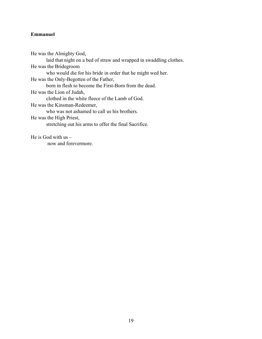# **Emmanuel**

He was the Almighty God, laid that night on a bed of straw and wrapped in swaddling clothes. He was the Bridegroom who would die for his bride in order that he might wed her. He was the Only-Begotten of the Father, born in flesh to become the First-Born from the dead. He was the Lion of Judah, clothed in the white fleece of the Lamb of God. He was the Kinsman-Redeemer, who was not ashamed to call us his brothers. He was the High Priest, stretching out his arms to offer the final Sacrifice.

He is God with  $us$ now and forevermore.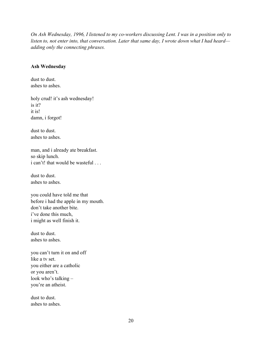*On Ash Wednesday, 1996, I listened to my co-workers discussing Lent. I was in a position only to listen to, not enter into, that conversation. Later that same day, I wrote down what I had heard adding only the connecting phrases.* 

#### **Ash Wednesday**

dust to dust. ashes to ashes.

holy crud! it's ash wednesday! is it? it is! damn, i forgot!

dust to dust. ashes to ashes.

man, and i already ate breakfast. so skip lunch. i can't! that would be wasteful ...

dust to dust. ashes to ashes.

you could have told me that before i had the apple in my mouth. don't take another bite. i've done this much, i might as well finish it.

dust to dust. ashes to ashes.

you can't turn it on and off like a tv set. you either are a catholic or you aren't. look who's talking – you're an atheist.

dust to dust. ashes to ashes.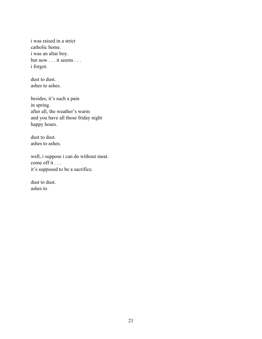i was raised in a strict catholic home. i was an altar boy. but now . . . it seems . . . i forgot.

dust to dust. ashes to ashes.

besides, it's such a pain in spring. after all, the weather's warm and you have all those friday night happy hours.

dust to dust. ashes to ashes.

well, i suppose i can do without meat. come off it . . . it's supposed to be a sacrifice.

dust to dust. ashes to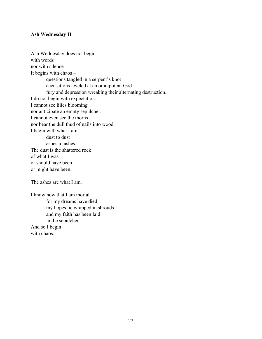## **Ash Wednesday II**

Ash Wednesday does not begin with words nor with silence. It begins with chaos – questions tangled in a serpent's knot accusations leveled at an omnipotent God fury and depression wreaking their alternating destruction. I do not begin with expectation. I cannot see lilies blooming nor anticipate an empty sepulcher. I cannot even see the thorns nor hear the dull thud of nails into wood. I begin with what I am – dust to dust ashes to ashes. The dust is the shattered rock of what I was or should have been or might have been. The ashes are what I am.

I know now that I am mortal for my dreams have died my hopes lie wrapped in shrouds and my faith has been laid in the sepulcher. And so I begin with chaos.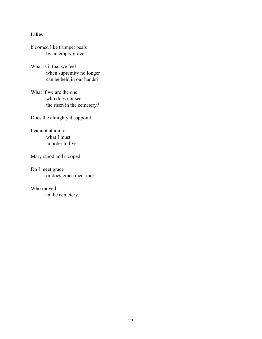## **Lilies**

bloomed like trumpet peals by an empty grave.

What is it that we feel – when supremity no longer can be held in our hands?

What if we are the one who does not see the risen in the cemetery?

Does the almighty disappoint.

I cannot attain to what I must in order to live.

Mary stood and stooped.

Do I meet grace or does grace meet me?

Who moved in the cemetery.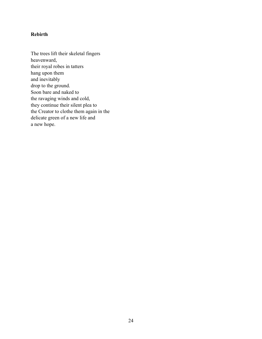# **Rebirth**

The trees lift their skeletal fingers heavenward, their royal robes in tatters hang upon them and inevitably drop to the ground. Soon bare and naked to the ravaging winds and cold, they continue their silent plea to the Creator to clothe them again in the delicate green of a new life and a new hope.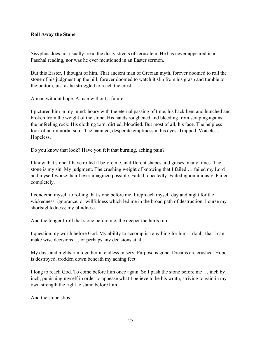## **Roll Away the Stone**

Sisyphus does not usually tread the dusty streets of Jerusalem. He has never appeared in a Paschal reading, nor was he ever mentioned in an Easter sermon.

But this Easter, I thought of him. That ancient man of Grecian myth, forever doomed to roll the stone of his judgment up the hill, forever doomed to watch it slip from his grasp and tumble to the bottom, just as he struggled to reach the crest.

A man without hope. A man without a future.

I pictured him in my mind: hoary with the eternal passing of time, his back bent and hunched and broken from the weight of the stone. His hands roughened and bleeding from scraping against the unfeeling rock. His clothing torn, dirtied, bloodied. But most of all, his face. The helpless look of an immortal soul. The haunted, desperate emptiness in his eyes. Trapped. Voiceless. Hopeless.

Do you know that look? Have you felt that burning, aching pain?

I know that stone. I have rolled it before me, in different shapes and guises, many times. The stone is my sin. My judgment. The crushing weight of knowing that I failed … failed my Lord and myself worse than I ever imagined possible. Failed repeatedly. Failed ignominiously. Failed completely.

I condemn myself to rolling that stone before me. I reproach myself day and night for the wickedness, ignorance, or willfulness which led me in the broad path of destruction. I curse my shortsightedness; my blindness.

And the longer I roll that stone before me, the deeper the hurts run.

I question my worth before God. My ability to accomplish anything for him. I doubt that I can make wise decisions … or perhaps any decisions at all.

My days and nights run together in endless misery. Purpose is gone. Dreams are crushed. Hope is destroyed, trodden down beneath my aching feet.

I long to reach God. To come before him once again. So I push the stone before me … inch by inch, punishing myself in order to appease what I believe to be his wrath, striving to gain in my own strength the right to stand before him.

And the stone slips.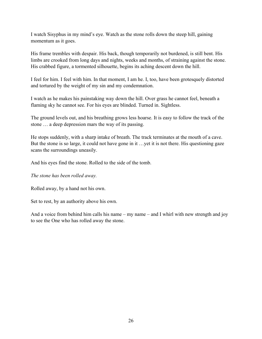I watch Sisyphus in my mind's eye. Watch as the stone rolls down the steep hill, gaining momentum as it goes.

His frame trembles with despair. His back, though temporarily not burdened, is still bent. His limbs are crooked from long days and nights, weeks and months, of straining against the stone. His crabbed figure, a tormented silhouette, begins its aching descent down the hill.

I feel for him. I feel with him. In that moment, I am he. I, too, have been grotesquely distorted and tortured by the weight of my sin and my condemnation.

I watch as he makes his painstaking way down the hill. Over grass he cannot feel, beneath a flaming sky he cannot see. For his eyes are blinded. Turned in. Sightless.

The ground levels out, and his breathing grows less hoarse. It is easy to follow the track of the stone … a deep depression mars the way of its passing.

He stops suddenly, with a sharp intake of breath. The track terminates at the mouth of a cave. But the stone is so large, it could not have gone in it …yet it is not there. His questioning gaze scans the surroundings uneasily.

And his eyes find the stone. Rolled to the side of the tomb.

*The stone has been rolled away.* 

Rolled away, by a hand not his own.

Set to rest, by an authority above his own.

And a voice from behind him calls his name – my name – and I whirl with new strength and joy to see the One who has rolled away the stone.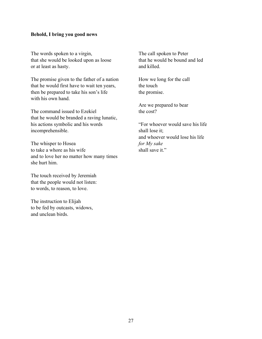## **Behold, I bring you good news**

The words spoken to a virgin, that she would be looked upon as loose or at least as hasty.

The promise given to the father of a nation that he would first have to wait ten years, then be prepared to take his son's life with his own hand.

The command issued to Ezekiel that he would be branded a raving lunatic, his actions symbolic and his words incomprehensible.

The whisper to Hosea to take a whore as his wife and to love her no matter how many times she hurt him.

The touch received by Jeremiah that the people would not listen: to words, to reason, to love.

The instruction to Elijah to be fed by outcasts, widows, and unclean birds.

The call spoken to Peter that he would be bound and led and killed.

How we long for the call the touch the promise.

Are we prepared to bear the cost?

"For whoever would save his life shall lose it; and whoever would lose his life *for My sake* shall save it."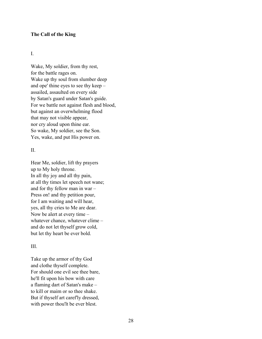## **The Call of the King**

#### I.

Wake, My soldier, from thy rest, for the battle rages on. Wake up thy soul from slumber deep and ope' thine eyes to see thy keep – assailed, assaulted on every side by Satan's guard under Satan's guide. For we battle not against flesh and blood, but against an overwhelming flood that may not visible appear, nor cry aloud upon thine ear. So wake, My soldier, see the Son. Yes, wake, and put His power on.

#### II.

Hear Me, soldier, lift thy prayers up to My holy throne. In all thy joy and all thy pain, at all thy times let speech not wane; and for thy fellow man in war – Press on! and thy petition pour, for I am waiting and will hear, yes, all thy cries to Me are dear. Now be alert at every time – whatever chance, whatever clime – and do not let thyself grow cold, but let thy heart be ever bold.

## III.

Take up the armor of thy God and clothe thyself complete. For should one evil see thee bare, he'll fit upon his bow with care a flaming dart of Satan's make – to kill or maim or so thee shake. But if thyself art caref'ly dressed, with power thou'lt be ever blest.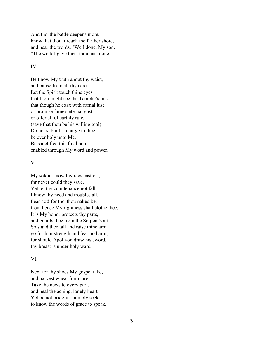And tho' the battle deepens more, know that thou'lt reach the farther shore, and hear the words, "Well done, My son, "The work I gave thee, thou hast done."

#### IV.

Belt now My truth about thy waist, and pause from all thy care. Let the Spirit touch thine eyes that thou might see the Tempter's lies – that though he coax with carnal lust or promise fame's eternal gust or offer all of earthly rule, (save that thou be his willing tool) Do not submit! I charge to thee: be ever holy unto Me. Be sanctified this final hour – enabled through My word and power.

## V.

My soldier, now thy rags cast off, for never could they save. Yet let thy countenance not fall, I know thy need and troubles all. Fear not! for tho' thou naked be, from hence My rightness shall clothe thee. It is My honor protects thy parts, and guards thee from the Serpent's arts. So stand thee tall and raise thine arm – go forth in strength and fear no harm; for should Apollyon draw his sword, thy breast is under holy ward.

## VI.

Next for thy shoes My gospel take, and harvest wheat from tare. Take the news to every part, and heal the aching, lonely heart. Yet be not prideful: humbly seek to know the words of grace to speak.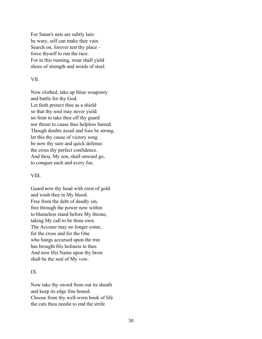For Satan's nets are subtly lain: be wary, self can make thee vain. Search on, forever test thy place – force thyself to run the race. For in this running, wear shall yield shoes of strength and words of steel.

#### VII.

Now clothed, take up thine weaponry and battle for thy God. Let faith protect thee as a shield so that thy soul may never yield: no feint to take thee off thy guard nor thrust to cause thee helpless barred. Though doubts assail and foes be strong, let this thy cause of victory song be now thy sure and quick defense: the cross thy perfect confidence. And thou, My son, shall onward go, to conquer each and every foe.

#### VIII.

Guard now thy head with crest of gold and wash thee in My blood. Free from the debt of deadly sin, free through the power now within to blameless stand before My throne, taking My call to be thine own. The Accuser may no longer come, for the cross and for the One who hangs accursed upon the tree has brought His holiness to thee. And now His Name upon thy brow shall be the seal of My vow.

## IX.

Now take thy sword from out its sheath and keep its edge fine honed. Choose from thy well-worn book of life the cuts thou needst to end the strife.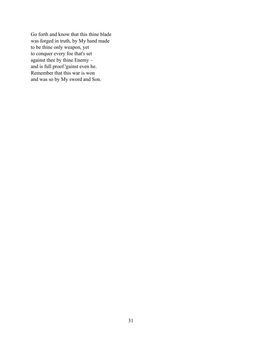Go forth and know that this thine blade was forged in truth, by My hand made to be thine only weapon, yet to conquer every foe that's set against thee by thine Enemy – and is full proof 'gainst even he. Remember that this war is won and was so by My sword and Son.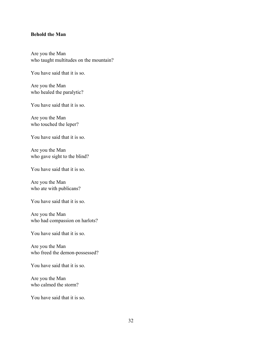#### **Behold the Man**

Are you the Man who taught multitudes on the mountain?

You have said that it is so.

Are you the Man who healed the paralytic?

You have said that it is so.

Are you the Man who touched the leper?

You have said that it is so.

Are you the Man who gave sight to the blind?

You have said that it is so.

Are you the Man who ate with publicans?

You have said that it is so.

Are you the Man who had compassion on harlots?

You have said that it is so.

Are you the Man who freed the demon-possessed?

You have said that it is so.

Are you the Man who calmed the storm?

You have said that it is so.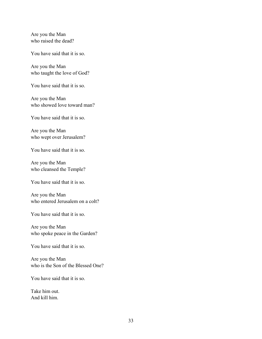Are you the Man who raised the dead?

You have said that it is so.

Are you the Man who taught the love of God?

You have said that it is so.

Are you the Man who showed love toward man?

You have said that it is so.

Are you the Man who wept over Jerusalem?

You have said that it is so.

Are you the Man who cleansed the Temple?

You have said that it is so.

Are you the Man who entered Jerusalem on a colt?

You have said that it is so.

Are you the Man who spoke peace in the Garden?

You have said that it is so.

Are you the Man who is the Son of the Blessed One?

You have said that it is so.

Take him out. And kill him.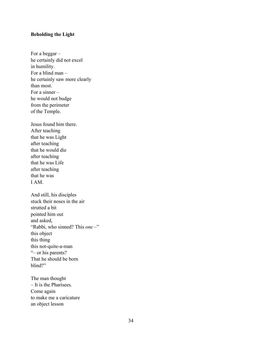# **Beholding the Light**

For a beggar – he certainly did not excel in humility. For a blind man – he certainly saw more clearly than most. For a sinner – he would not budge from the perimeter of the Temple.

Jesus found him there. After teaching that he was Light after teaching that he would die after teaching that he was Life after teaching that he was I AM.

And still, his disciples stuck their noses in the air strutted a bit pointed him out and asked, "Rabbi, who sinned? This *one* –" this object this thing this not-quite-a-man "– or his parents? That he should be born blind?"

The man thought – It is the Pharisees. Come again to make me a caricature an object lesson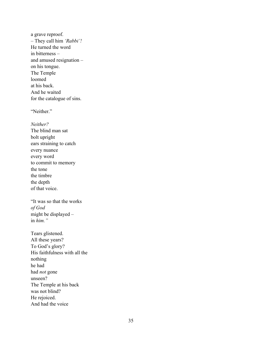a grave reproof. – They call him *'Rabbi'!* He turned the word in bitterness – and amused resignation – on his tongue. The Temple loomed at his back. And he waited for the catalogue of sins.

"Neither."

*Neither?* The blind man sat bolt upright ears straining to catch every nuance every word to commit to memory the tone the timbre the depth of that voice.

"It was so that the works *of God*  might be displayed – in *him."*

Tears glistened. All these years? To God's glory? His faithfulness with all the nothing he had had *not* gone unseen? The Temple at his back was not blind? He rejoiced. And had the voice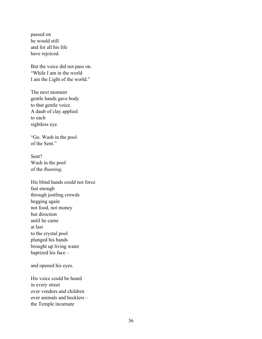passed on he would still and for all his life have rejoiced.

But the voice did not pass on. "While I am in the world I am the Light of the world."

The next moment gentle hands gave body to that gentle voice. A daub of clay applied to each sightless eye.

"Go. Wash in the pool of the Sent."

Sent? Wash in the pool of the *Running.* 

His blind hands could not force fast enough through jostling crowds begging again not food, not money but direction until he came at last to the crystal pool plunged his hands brought up living water baptized his face –

and opened his eyes.

His voice could be heard in every street over vendors and children over animals and hecklers – the Temple incarnate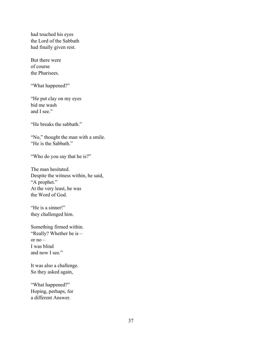had touched his eyes the Lord of the Sabbath had finally given rest.

But there were of course the Pharisees.

"What happened?"

"He put clay on my eyes bid me wash and I see."

"He breaks the sabbath."

"No," thought the man with a smile. "He is the Sabbath."

"Who do you say that he is?"

The man hesitated. Despite the witness within, he said, "A prophet." At the very least, he was the Word of God.

"He is a sinner!" they challenged him.

Something firmed within. "Really? Whether he is – or  $no -$ I was blind and now I see."

It was also a challenge. So they asked again,

"What happened?" Hoping, perhaps, for a different Answer.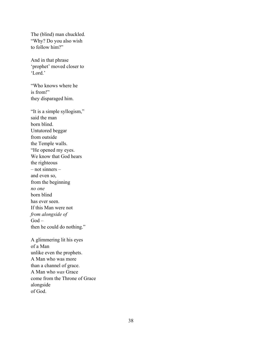The (blind) man chuckled. "Why? Do you also wish to follow him?"

And in that phrase 'prophet' moved closer to 'Lord.'

"Who knows where he is from!" they disparaged him.

"It is a simple syllogism," said the man born blind. Untutored beggar from outside the Temple walls. "He opened my eyes. We know that God hears the righteous – not sinners – and even so, from the beginning *no one* born blind has ever seen. If this Man were not *from alongside of*  God – then he could do nothing."

A glimmering lit his eyes of a Man unlike even the prophets. A Man who was more than a channel of grace. A Man who *was* Grace come from the Throne of Grace alongside of God.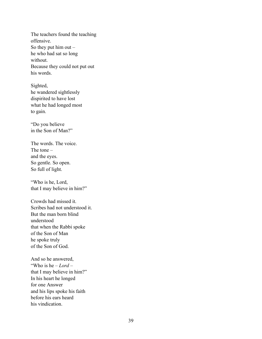The teachers found the teaching offensive. So they put him out  $$ he who had sat so long without. Because they could not put out his words.

Sighted, he wandered sightlessly dispirited to have lost what he had longed most to gain.

"Do you believe in the Son of Man?"

The words. The voice. The tone – and the eyes. So gentle. So open. So full of light.

"Who is he, Lord, that I may believe in him?"

Crowds had missed it. Scribes had not understood it. But the man born blind understood that when the Rabbi spoke of the Son of Man he spoke truly of the Son of God.

And so he answered, "Who is he – *Lord* – that I may believe in him?" In his heart he longed for one Answer and his lips spoke his faith before his ears heard his vindication.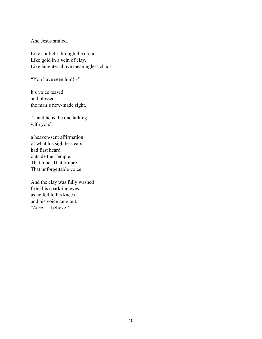And Jesus smiled.

Like sunlight through the clouds. Like gold in a vein of clay. Like laughter above meaningless chaos.

"You have seen him! –"

his voice teased and blessed the man's new-made sight.

"– and he is the one talking with you."

a heaven-sent affirmation of what his sightless ears had first heard outside the Temple. That tone. That timbre. That unforgettable voice.

And the clay was fully washed from his sparkling eyes as he fell to his knees and his voice rang out, "*Lord* – I believe!"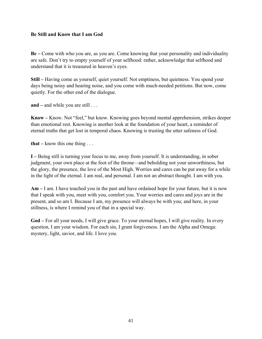# **Be Still and Know that I am God**

**Be –** Come with who you are, as you are. Come knowing that your personality and individuality are safe. Don't try to empty yourself of your selfhood: rather, acknowledge that selfhood and understand that it is treasured in heaven's eyes.

**Still –** Having come as yourself, quiet yourself. Not emptiness, but quietness. You spend your days being noisy and hearing noise, and you come with much-needed petitions. But now, come quietly. For the other end of the dialogue.

**and –** and while you are still . . .

**Know –** Know. Not "feel," but know. Knowing goes beyond mental apprehension, strikes deeper than emotional rest. Knowing is another look at the foundation of your heart, a reminder of eternal truths that get lost in temporal chaos. Knowing is trusting the utter safeness of God.

**that –** know this one thing . . .

**I –** Being still is turning your focus to me, away from yourself. It is understanding, in sober judgment, your own place at the foot of the throne*—*and beholding not your unworthiness, but the glory, the presence, the love of the Most High. Worries and cares can be put away for a while in the light of the eternal. I am real, and personal. I am not an abstract thought. I am with you.

**Am –** I am. I have touched you in the past and have ordained hope for your future, but it is now that I speak with you, meet with you, comfort you. Your worries and cares and joys are in the present, and so am I. Because I am, my presence will always be with you; and here, in your stillness, is where I remind you of that in a special way.

**God –** For all your needs, I will give grace. To your eternal hopes, I will give reality. In every question, I am your wisdom. For each sin, I grant forgiveness. I am the Alpha and Omega: mystery, light, savior, and life. I love you.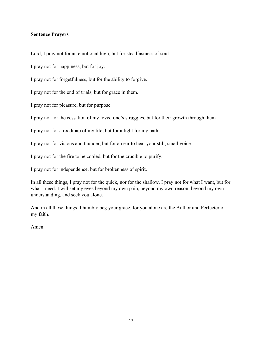## **Sentence Prayers**

Lord, I pray not for an emotional high, but for steadfastness of soul.

I pray not for happiness, but for joy.

I pray not for forgetfulness, but for the ability to forgive.

I pray not for the end of trials, but for grace in them.

I pray not for pleasure, but for purpose.

I pray not for the cessation of my loved one's struggles, but for their growth through them.

I pray not for a roadmap of my life, but for a light for my path.

I pray not for visions and thunder, but for an ear to hear your still, small voice.

I pray not for the fire to be cooled, but for the crucible to purify.

I pray not for independence, but for brokenness of spirit.

In all these things, I pray not for the quick, nor for the shallow. I pray not for what I want, but for what I need. I will set my eyes beyond my own pain, beyond my own reason, beyond my own understanding, and seek you alone.

And in all these things, I humbly beg your grace, for you alone are the Author and Perfecter of my faith.

Amen.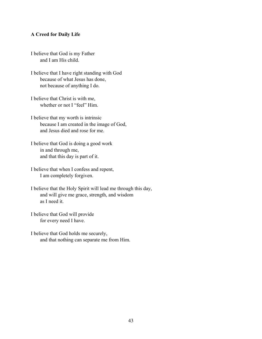#### **A Creed for Daily Life**

I believe that God is my Father and I am His child.

I believe that I have right standing with God because of what Jesus has done, not because of anything I do.

I believe that Christ is with me, whether or not I "feel" Him.

I believe that my worth is intrinsic because I am created in the image of God, and Jesus died and rose for me.

I believe that God is doing a good work in and through me, and that this day is part of it.

I believe that when I confess and repent, I am completely forgiven.

I believe that the Holy Spirit will lead me through this day, and will give me grace, strength, and wisdom as I need it.

I believe that God will provide for every need I have.

I believe that God holds me securely, and that nothing can separate me from Him.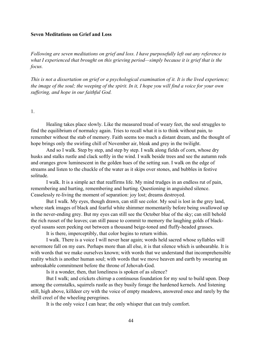#### **Seven Meditations on Grief and Loss**

*Following are seven meditations on grief and loss. I have purposefully left out any reference to what I experienced that brought on this grieving period—simply because it is grief that is the focus.* 

*This is not a dissertation on grief or a psychological examination of it. It is the lived experience; the image of the soul; the weeping of the spirit. In it, I hope you will find a voice for your own suffering, and hope in our faithful God.* 

1.

Healing takes place slowly. Like the measured tread of weary feet, the soul struggles to find the equilibrium of normalcy again. Tries to recall what it is to think without pain, to remember without the stab of memory. Faith seems too much a distant dream, and the thought of hope brings only the swirling chill of November air, bleak and grey in the twilight.

And so I walk. Step by step, and step by step. I walk along fields of corn, whose dry husks and stalks rustle and clack softly in the wind. I walk beside trees and see the autumn reds and oranges grow luminescent in the golden hues of the setting sun. I walk on the edge of streams and listen to the chuckle of the water as it skips over stones, and bubbles in festive solitude.

I walk. It is a simple act that reaffirms life. My mind trudges in an endless rut of pain, remembering and hurting, remembering and hurting. Questioning in anguished silence. Ceaselessly re-living the moment of separation: joy lost; dreams destroyed.

But I walk. My eyes, though drawn, can still see color. My soul is lost in the grey land, where stark images of black and fearful white shimmer momentarily before being swallowed up in the never-ending grey. But my eyes can still see the October blue of the sky; can still behold the rich russet of the leaves; can still pause to commit to memory the laughing golds of blackeyed susans seen peeking out between a thousand beige-toned and fluffy-headed grasses.

It is there, imperceptibly, that color begins to return within.

I walk. There is a voice I will never hear again; words held sacred whose syllables will nevermore fall on my ears. Perhaps more than all else, it is that silence which is unbearable. It is with words that we make ourselves known; with words that we understand that incomprehensible reality which is another human soul; with words that we move heaven and earth by swearing an unbreakable commitment before the throne of Jehovah-God.

Is it a wonder, then, that loneliness is spoken of as silence?

But I walk; and crickets chirrup a continuous foundation for my soul to build upon. Deep among the cornstalks, squirrels rustle as they busily forage the hardened kernels. And listening still, high above, killdeer cry with the voice of empty meadows, answered once and rarely by the shrill creel of the wheeling peregrines.

It is the only voice I can hear; the only whisper that can truly comfort.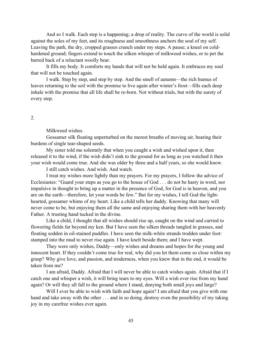And so I walk. Each step is a happening; a drop of reality. The curve of the world is solid against the soles of my feet, and its roughness and smoothness anchors the soul of my self. Leaving the path, the dry, cropped grasses crunch under my steps. A pause; a kneel on coldhardened ground; fingers extend to touch the silken whisper of milkweed wishes, or to pet the barred back of a reluctant woolly bear.

It fills my body. It comforts my hands that will not be held again. It embraces my soul that will not be touched again.

I walk. Step by step, and step by step. And the smell of autumn—the rich humus of leaves returning to the soil with the promise to live again after winter's frost—fills each deep inhale with the promise that all life shall be re-born. Not without trials, but with the surety of every step.

## 2.

#### Milkweed wishes.

Gossamer silk floating unperturbed on the merest breaths of moving air, bearing their burdens of single tear-shaped seeds.

My sister told me solemnly that when you caught a wish and wished upon it, then released it to the wind, if the wish didn't sink to the ground for as long as you watched it then your wish would come true. And she was older by three and a half years, so she would know.

I still catch wishes. And wish. And watch.

I treat my wishes more lightly than my prayers. For my prayers, I follow the advice of Ecclesiastes: "Guard your steps as you go to the house of God . . . do not be hasty in word, nor impulsive in thought to bring up a matter in the presence of God, for God is in heaven, and you are on the earth—therefore, let your words be few." But for my wishes, I tell God the lighthearted, gossamer whims of my heart. Like a child tells her daddy. Knowing that many will never come to be, but enjoying them all the same and enjoying sharing them with her heavenly Father. A trusting hand tucked in the divine.

Like a child, I thought that all wishes should rise up, caught on the wind and carried to flowering fields far beyond my ken. But I have seen the silken threads tangled in grasses, and floating sodden in oil-stained puddles. I have seen the milk-white strands trodden under foot: stamped into the mud to never rise again. I have knelt beside them; and I have wept.

They were only wishes, Daddy—only wishes and dreams and hopes for the young and innocent heart. If they couldn't come true for real, why did you let them come so close within my grasp? Why give love, and passion, and tenderness, when you knew that in the end, it would be taken from me?

I am afraid, Daddy. Afraid that I will never be able to catch wishes again. Afraid that if I catch one and whisper a wish, it will bring tears to my eyes. Will a wish ever rise from my hand again? Or will they all fall to the ground where I stand, denying both small joys and large?

Will I ever be able to wish with faith and hope again? I am afraid that you give with one hand and take away with the other . . . and in so doing, destroy even the possibility of my taking joy in my carefree wishes ever again.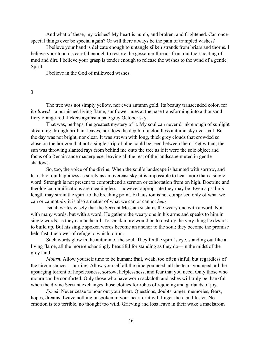And what of these, my wishes? My heart is numb, and broken, and frightened. Can oncespecial things ever be special again? Or will there always be the pain of trampled wishes?

I believe your hand is delicate enough to untangle silken strands from briars and thorns. I believe your touch is careful enough to restore the gossamer threads from out their coating of mud and dirt. I believe your grasp is tender enough to release the wishes to the wind of a gentle Spirit.

I believe in the God of milkweed wishes.

## 3.

The tree was not simply yellow, nor even autumn gold. Its beauty transcended color, for it *glowed*—a burnished living flame, sunflower hues at the base transforming into a thousand fiery orange-red flickers against a pale grey October sky.

That was, perhaps, the greatest mystery of it. My soul can never drink enough of sunlight streaming through brilliant leaves, nor does the depth of a cloudless autumn sky ever pall. But the day was not bright, nor clear. It was strewn with long, thick grey clouds that crowded so close on the horizon that not a single strip of blue could be seen between them. Yet withal, the sun was throwing slanted rays from behind me onto the tree as if it were the sole object and focus of a Renaissance masterpiece, leaving all the rest of the landscape muted in gentle shadows.

So, too, the voice of the divine. When the soul's landscape is haunted with sorrow, and tears blot out happiness as surely as an overcast sky, it is impossible to hear more than a single word. Strength is not present to comprehend a sermon or exhortation from on high. Doctrine and theological ramifications are meaningless—however appropriate they may be. Even a psalm's length may strain the spirit to the breaking point. Exhaustion is not comprised only of what we can or cannot *do:* it is also a matter of what we can or cannot *hear.* 

Isaiah writes wisely that the Servant Messiah sustains the weary one with a word. Not with many words; but with a word. He gathers the weary one in his arms and speaks to him in single words, as they can be heard. To speak more would be to destroy the very thing he desires to build up. But his single spoken words become an anchor to the soul; they become the promise held fast, the tower of refuge to which to run.

Such words glow in the autumn of the soul. They fix the spirit's eye, standing out like a living flame, all the more enchantingly beautiful for standing as they do—in the midst of the grey land.

*Mourn*. Allow yourself time to be human: frail, weak, too often sinful, but regardless of the circumstances—hurting. Allow yourself all the time you need, all the tears you need, all the upsurging torrent of hopelessness, sorrow, helplessness, and fear that you need. Only those who mourn can be comforted. Only those who have worn sackcloth and ashes will truly be thankful when the divine Servant exchanges those clothes for robes of rejoicing and garlands of joy.

*Speak*. Never cease to pour out your heart. Questions, doubts, anger, memories, fears, hopes, dreams. Leave nothing unspoken in your heart or it will linger there and fester. No emotion is too terrible, no thought too wild. Grieving and loss leave in their wake a maelstrom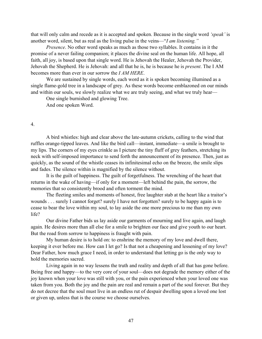that will only calm and recede as it is accepted and spoken. Because in the single word *'speak'* is another word, silent, but as real as the living pulse in the veins—"*I am listening."* 

*Presence*. No other word speaks as much as those two syllables. It contains in it the promise of a never failing companion; it places the divine seal on the human life. All hope, all faith, all joy, is based upon that single word. He is Jehovah the Healer, Jehovah the Provider, Jehovah the Shepherd. He is Jehovah: and all that he is, he is because he is *present*. The I AM becomes more than ever in our sorrow the *I AM HERE*.

We are sustained by single words, each word as it is spoken becoming illumined as a single flame-gold tree in a landscape of grey. As these words become emblazoned on our minds and within our souls, we slowly realize what we are truly seeing, and what we truly hear—

One single burnished and glowing Tree.

And one spoken Word.

## 4.

A bird whistles: high and clear above the late-autumn crickets, calling to the wind that ruffles orange-tipped leaves. And like the bird call—instant, immediate—a smile is brought to my lips. The corners of my eyes crinkle as I picture the tiny fluff of grey feathers, stretching its neck with self-imposed importance to send forth the announcement of its presence. Then, just as quickly, as the sound of the whistle ceases its infinitesimal echo on the breeze, the smile slips and fades. The silence within is magnified by the silence without.

It is the guilt of happiness. The guilt of forgetfulness. The wrenching of the heart that returns in the wake of having—if only for a moment—left behind the pain, the sorrow, the memories that so consistently brood and often torment the mind.

The fleeting smiles and moments of honest, free laughter stab at the heart like a traitor's wounds . . . surely I cannot forget? surely I have not forgotten? surely to be happy again is to cease to bear the love within my soul, to lay aside the one more precious to me than my own life?

Our divine Father bids us lay aside our garments of mourning and live again, and laugh again. He desires more than all else for a smile to brighten our face and give youth to our heart. But the road from sorrow to happiness is fraught with pain.

My human desire is to hold on: to enshrine the memory of my love and dwell there, keeping it ever before me. How can I let go? Is that not a cheapening and lessening of my love? Dear Father, how much grace I need, in order to understand that letting go is the only way to hold the memories sacred.

Living again in no way lessens the truth and reality and depth of all that has gone before. Being free and happy—to the very core of your soul—does not degrade the memory either of the joy known when your love was still with you, or the pain experienced when your loved one was taken from you. Both the joy and the pain are real and remain a part of the soul forever. But they do not decree that the soul must live in an endless rut of despair dwelling upon a loved one lost or given up, unless that is the course we choose ourselves.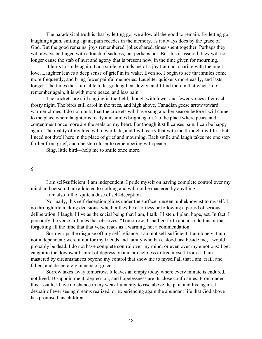The paradoxical truth is that by letting go, we allow all the good to remain. By letting go, laughing again, smiling again, pain recedes in the memory, as it always does by the grace of God. But the good remains: joys remembered, jokes shared, times spent together. Perhaps they will always be tinged with a touch of sadness, but perhaps not. But this is assured: they will no longer cause the stab of hurt and agony that is present now, in the time given for mourning.

It hurts to smile again. Each smile reminds me of a joy I am not sharing with the one I love. Laughter leaves a deep sense of grief in its wake. Even so, I begin to see that smiles come more frequently, and bring fewer painful memories. Laughter quickens more easily, and lasts longer. The times that I am able to let go lengthen slowly, and I find therein that when I do remember again, it is with more peace, and less pain.

The crickets are still singing in the field, though with fewer and fewer voices after each frosty night. The birds still carol in the trees, and high above, Canadian geese arrow toward warmer climes. I do not doubt that the crickets will have sung another season before I will come to the place where laughter is ready and smiles bright again. To the place where peace and contentment once more are the seals on my heart. For though it still causes pain, I can be happy again. The reality of my love will never fade, and I will carry that with me through my life—but I need not dwell here in the place of grief and mourning. Each smile and laugh takes me one step farther from grief, and one step closer to remembering with peace.

Sing, little bird—help me to smile once more.

#### 5.

I am self-sufficient. I am independent. I pride myself on having complete control over my mind and person. I am addicted to nothing and will not be mastered by anything.

I am also full of quite a dose of self-deception.

Normally, this self-deception glides under the surface: unseen, unbeknownst to myself. I go through life making decisions, whether they be effortless or following a period of serious deliberation. I laugh, I live as the social being that I am, I talk, I listen. I plan, hope, act. In fact, I personify the verse in James that observes, "Tomorrow, I shall go forth and also do this or that;" forgetting all the time that that verse reads as a warning, not a commendation.

Sorrow rips the disguise off my self-reliance. I am not self-sufficient: I am lonely. I am not independent: were it not for my friends and family who have stood fast beside me, I would probably be dead. I do not have complete control over my mind, or even over my emotions: I get caught in the downward spiral of depression and am helpless to free myself from it. I am mastered by circumstances beyond my control that show me to myself all that I am: frail, and fallen, and desperately in need of grace.

Sorrow takes away tomorrow. It leaves an empty today where every minute is endured, not lived. Disappointment, depression, and hopelessness are its close confidantes. From under this assault, I have no chance in my weak humanity to rise above the pain and live again. I despair of ever seeing dreams realized, or experiencing again the abundant life that God above has promised his children.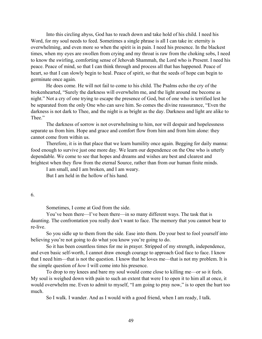Into this circling abyss, God has to reach down and take hold of his child. I need his Word, for my soul needs to feed. Sometimes a single phrase is all I can take in: eternity is overwhelming, and even more so when the spirit is in pain. I need his presence. In the blackest times, when my eyes are swollen from crying and my throat is raw from the choking sobs, I need to know the swirling, comforting sense of Jehovah Shammah, the Lord who is Present. I need his peace. Peace of mind, so that I can think through and process all that has happened. Peace of heart, so that I can slowly begin to heal. Peace of spirit, so that the seeds of hope can begin to germinate once again.

He does come. He will not fail to come to his child. The Psalms echo the cry of the brokenhearted, "Surely the darkness will overwhelm me, and the light around me become as night." Not a cry of one trying to escape the presence of God, but of one who is terrified lest he be separated from the only One who can save him. So comes the divine reassurance, "Even the darkness is not dark to Thee, and the night is as bright as the day. Darkness and light are alike to Thee."

The darkness of sorrow is not overwhelming to him, nor will despair and hopelessness separate us from him. Hope and grace and comfort flow from him and from him alone: they cannot come from within us.

Therefore, it is in that place that we learn humility once again. Begging for daily manna: food enough to survive just one more day. We learn our dependence on the One who is utterly dependable. We come to see that hopes and dreams and wishes are best and clearest and brightest when they flow from the eternal Source, rather than from our human finite minds.

I am small, and I am broken, and I am weary.

But I am held in the hollow of his hand.

6.

Sometimes, I come at God from the side.

You've been there—I've been there—in so many different ways. The task that is daunting. The confrontation you really don't want to face. The memory that you cannot bear to re-live.

So you sidle up to them from the side. Ease into them. Do your best to fool yourself into believing you're not going to do what you know you're going to do.

So it has been countless times for me in prayer. Stripped of my strength, independence, and even basic self-worth, I cannot draw enough courage to approach God face to face. I know that I need him—that is not the question. I know that he loves me—that is not my problem. It is the simple question of *how* I will come into his presence.

To drop to my knees and bare my soul would come close to killing me—or so it feels. My soul is weighed down with pain to such an extent that were I to open it to him all at once, it would overwhelm me. Even to admit to myself, "I am going to pray now," is to open the hurt too much.

So I walk. I wander. And as I would with a good friend, when I am ready, I talk.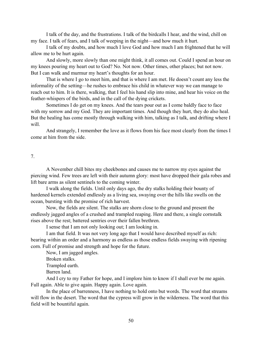I talk of the day, and the frustrations. I talk of the birdcalls I hear, and the wind, chill on my face. I talk of fears, and I talk of weeping in the night—and how much it hurt.

I talk of my doubts, and how much I love God and how much I am frightened that he will allow me to be hurt again.

And slowly, more slowly than one might think, it all comes out. Could I spend an hour on my knees pouring my heart out to God? No. Not now. Other times, other places; but not now. But I can walk and murmur my heart's thoughts for an hour.

That is where I go to meet him, and that is where I am met. He doesn't count any less the informality of the setting—he rushes to embrace his child in whatever way we can manage to reach out to him. It is there, walking, that I feel his hand slip into mine, and hear his voice on the feather-whispers of the birds, and in the call of the dying crickets.

Sometimes I do get on my knees. And the tears pour out as I come baldly face to face with my sorrow and my God. They are important times. And though they hurt, they do also heal. But the healing has come mostly through walking with him, talking as I talk, and drifting where I will.

And strangely, I remember the love as it flows from his face most clearly from the times I come at him from the side.

## 7.

A November chill bites my cheekbones and causes me to narrow my eyes against the piercing wind. Few trees are left with their autumn glory: most have dropped their gala robes and lift bare arms as silent sentinels to the coming winter.

I walk along the fields. Until only days ago, the dry stalks holding their bounty of hardened kernels extended endlessly as a living sea, swaying over the hills like swells on the ocean, bursting with the promise of rich harvest.

Now, the fields are silent. The stalks are shorn close to the ground and present the endlessly jagged angles of a crushed and trampled reaping. Here and there, a single cornstalk rises above the rest; battered sentries over their fallen brethren.

I sense that I am not only looking out; I am looking in.

I am that field. It was not very long ago that I would have described myself as rich: bearing within an order and a harmony as endless as those endless fields swaying with ripening corn. Full of promise and strength and hope for the future.

Now, I am jagged angles.

Broken stalks.

Trampled earth.

Barren land.

And I cry to my Father for hope, and I implore him to know if I shall ever be me again. Full again. Able to give again. Happy again. Love again.

In the place of barrenness, I have nothing to hold onto but words. The word that streams will flow in the desert. The word that the cypress will grow in the wilderness. The word that this field will be bountiful again.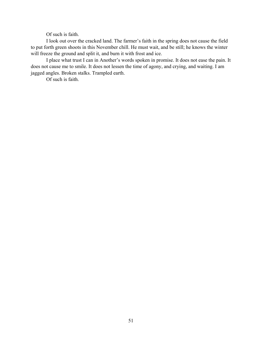Of such is faith.

I look out over the cracked land. The farmer's faith in the spring does not cause the field to put forth green shoots in this November chill. He must wait, and be still; he knows the winter will freeze the ground and split it, and burn it with frost and ice.

I place what trust I can in Another's words spoken in promise. It does not ease the pain. It does not cause me to smile. It does not lessen the time of agony, and crying, and waiting. I am jagged angles. Broken stalks. Trampled earth.

Of such is faith.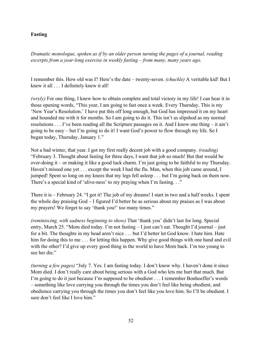# **Fasting**

*Dramatic monologue, spoken as if by an older person turning the pages of a journal, reading excerpts from a year-long exercise in weekly fasting* – *from many, many years ago.* 

I remember this. How old was I? Here's the date – twenty-seven. *(chuckle)* A veritable kid! But I knew it all . . . I definitely knew it all!

*(wryly)* For one thing, I knew how to obtain complete and total victory in my life! I can hear it in those opening words, "This year, I am going to fast once a week. Every Thursday. This is my 'New Year's Resolution.' I have put this off long enough, but God has impressed it on my heart and hounded me with it for months. So I am going to do it. This isn't as slipshod as my normal resolutions . . . I've been reading all the Scripture passages on it. And I know one thing – it ain't going to be easy – but I'm going to do it! I want God's power to flow through my life. So I began today, Thursday, January 1."

Not a bad winter, that year. I got my first really decent job with a good company. *(reading)* "February 3. Thought about fasting for three days, I want that job so much! But that would be over-doing it – or making it like a good luck charm. I'm just going to be faithful to my Thursday. Haven't missed one yet . . . except the week I had the flu. Man, when this job came around, I jumped! Spent so long on my knees that my legs fell asleep . . . but I'm going back on them now. There's a special kind of 'alive-ness' to my praying when I'm fasting. . ."

There it is – February 24. "I got it! The job of my dreams! I start in two and a half weeks. I spent the whole day praising God – I figured I'd better be as serious about my praises as I was about my prayers! We forget to say 'thank you!' too many times."

*(reminiscing, with sadness beginning to show)* That 'thank you' didn't last for long. Special entry, March 25. "Mom died today. I'm not fasting – I just can't eat. Thought I'd journal – just for a bit. The thoughts in my head aren't nice . . . but I'd better let God know. I hate him. Hate him for doing this to me . . . for letting this happen. Why give good things with one hand and evil with the other? I'd give up every good thing in the world to have Mom back. I'm too young to see her die."

*(turning a few pages)* "July 7. Yes. I am fasting today. I don't know why. I haven't done it since Mom died. I don't really care about being serious with a God who lets me hurt that much. But I'm going to do it just because I'm supposed to be obedient . . . I remember Bonhoeffer's words – something like love carrying you through the times you don't feel like being obedient, and obedience carrying you through the times you don't feel like you love him. So I'll be obedient. I sure don't feel like I love him."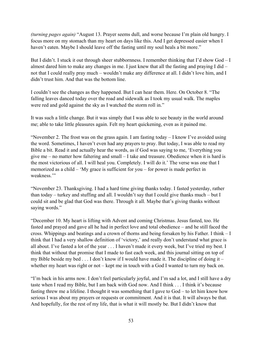*(turning pages again)* "August 13. Prayer seems dull, and worse because I'm plain old hungry. I focus more on my stomach than my heart on days like this. And I get depressed easier when I haven't eaten. Maybe I should leave off the fasting until my soul heals a bit more."

But I didn't. I stuck it out through sheer stubbornness. I remember thinking that I'd show God – I almost dared him to make any changes in me. I just knew that all the fasting and praying I did – not that I could really pray much – wouldn't make any difference at all. I didn't love him, and I didn't trust him. And that was the bottom line.

I couldn't see the changes as they happened. But I can hear them. Here. On October 8. "The falling leaves danced today over the road and sidewalk as I took my usual walk. The maples were red and gold against the sky as I watched the storm roll in."

It was such a little change. But it was simply that I was able to see beauty in the world around me; able to take little pleasures again. Felt my heart quickening, even as it pained me.

"November 2. The frost was on the grass again. I am fasting today – I know I've avoided using the word. Sometimes, I haven't even had any prayers to pray. But today, I was able to read my Bible a bit. Read it and actually hear the words, as if God was saying to me, 'Everything you give me – no matter how faltering and small – I take and treasure. Obedience when it is hard is the most victorious of all. I will heal you. Completely. I will do it.' The verse was one that I memorized as a child – 'My grace is sufficient for you – for power is made perfect in weakness<sup>"</sup>

"November 23. Thanksgiving. I had a hard time giving thanks today. I fasted yesterday, rather than today – turkey and stuffing and all. I wouldn't say that I could give thanks much – but I could sit and be glad that God was there. Through it all. Maybe that's giving thanks without saying words."

"December 10. My heart is lifting with Advent and coming Christmas. Jesus fasted, too. He fasted and prayed and gave all he had in perfect love and total obedience – and he still faced the cross. Whippings and beatings and a crown of thorns and being forsaken by his Father. I think – I think that I had a very shallow definition of 'victory,' and really don't understand what grace is all about. I've fasted a lot of the year . . . I haven't made it every week, but I've tried my best. I think that without that promise that I made to fast each week, and this journal sitting on top of my Bible beside my bed . . . I don't know if I would have made it. The discipline of doing it – whether my heart was right or not – kept me in touch with a God I wanted to turn my back on.

"I'm back in his arms now. I don't feel particularly joyful, and I'm sad a lot, and I still have a dry taste when I read my Bible, but I am back with God now. And I think . . . I think it's because fasting threw me a lifeline. I thought it was something that I gave to God – to let him know how serious I was about my prayers or requests or commitment. And it is that. It will always be that. And hopefully, for the rest of my life, that is what it will mostly be. But I didn't know that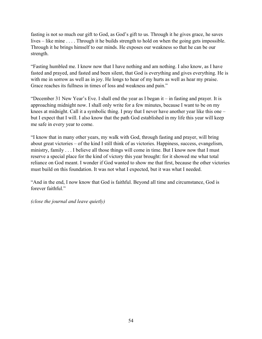fasting is not so much our gift to God, as God's gift to us. Through it he gives grace, he saves lives – like mine . . . . Through it he builds strength to hold on when the going gets impossible. Through it he brings himself to our minds. He exposes our weakness so that he can be our strength.

"Fasting humbled me. I know now that I have nothing and am nothing. I also know, as I have fasted and prayed, and fasted and been silent, that God is everything and gives everything. He is with me in sorrow as well as in joy. He longs to hear of my hurts as well as hear my praise. Grace reaches its fullness in times of loss and weakness and pain."

"December 31 New Year's Eve. I shall end the year as I began it – in fasting and prayer. It is approaching midnight now. I shall only write for a few minutes, because I want to be on my knees at midnight. Call it a symbolic thing. I pray that I never have another year like this one – but I expect that I will. I also know that the path God established in my life this year will keep me safe in every year to come.

"I know that in many other years, my walk with God, through fasting and prayer, will bring about great victories – of the kind I still think of as victories. Happiness, success, evangelism, ministry, family . . . I believe all those things will come in time. But I know now that I must reserve a special place for the kind of victory this year brought: for it showed me what total reliance on God meant. I wonder if God wanted to show me that first, because the other victories must build on this foundation. It was not what I expected, but it was what I needed.

"And in the end, I now know that God is faithful. Beyond all time and circumstance, God is forever faithful."

*(close the journal and leave quietly)*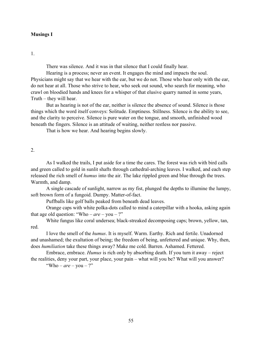#### **Musings I**

1.

There was silence. And it was in that silence that I could finally hear.

Hearing is a process; never an event. It engages the mind and impacts the soul. Physicians might say that we hear with the ear, but we do not. Those who hear only with the ear, do not hear at all. Those who strive to hear, who seek out sound, who search for meaning, who crawl on bloodied hands and knees for a whisper of that elusive quarry named in some years, Truth – they will hear.

But as hearing is not of the ear, neither is silence the absence of sound. Silence is those things which the word itself conveys: Solitude. Emptiness. Stillness. Silence is the ability to see, and the clarity to perceive. Silence is pure water on the tongue, and smooth, unfinished wood beneath the fingers. Silence is an attitude of waiting, neither restless nor passive.

That is how we hear. And hearing begins slowly.

#### 2.

As I walked the trails, I put aside for a time the cares. The forest was rich with bird calls and green called to gold in sunlit shafts through cathedral-arching leaves. I walked, and each step released the rich smell of *humus* into the air. The lake rippled green and blue through the trees. Warmth, and damp.

A single cascade of sunlight, narrow as my fist, plunged the depths to illumine the lumpy, soft brown form of a fungoid. Dumpy. Matter-of-fact.

Puffballs like golf balls peaked from beneath dead leaves.

Orange caps with white polka-dots called to mind a caterpillar with a hooka, asking again that age old question: "Who –  $are$  – you – ?"

White fungus like coral undersea; black-streaked decomposing caps; brown, yellow, tan, red.

I love the smell of the *humus*. It is myself. Warm. Earthy. Rich and fertile. Unadorned and unashamed; the exultation of being; the freedom of being, unfettered and unique. Why, then, does *humiliation* take these things away? Make me cold. Barren. Ashamed. Fettered.

Embrace, embrace. *Humus* is rich only by absorbing death. If you turn it away – reject the realities, deny your part, your place, your pain – what will you be? What will you answer?

"Who –  $are$  – you – ?"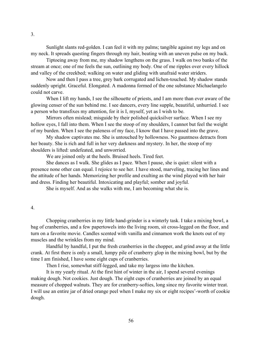Sunlight slants red-golden. I can feel it with my palms; tangible against my legs and on my neck. It spreads questing fingers through my hair, beating with an uneven pulse on my back.

Tiptoeing away from me, my shadow lengthens on the grass. I walk on two banks of the stream at once; one of me feels the sun, outlining my body. One of me ripples over every hillock and valley of the creekbed; walking on water and gliding with unafraid water striders.

Now and then I pass a tree, grey bark corrugated and lichen-touched. My shadow stands suddenly upright. Graceful. Elongated. A madonna formed of the one substance Michaelangelo could not carve.

When I lift my hands, I see the silhouette of priests, and I am more than ever aware of the glowing censer of the sun behind me. I see dancers, every line supple, beautiful, unhurried. I see a person who transfixes my attention, for it is I, myself, yet as I wish to be.

Mirrors often mislead; misguide by their polished quicksilver surface. When I see my hollow eyes, I fall into them. When I see the stoop of my shoulders, I cannot but feel the weight of my burden. When I see the paleness of my face, I know that I have passed into the grave.

My shadow captivates me. She is untouched by hollowness. No gauntness detracts from her beauty. She is rich and full in her very darkness and mystery. In her, the stoop of my shoulders is lifted: undefeated, and unworried.

We are joined only at the heels. Bruised heels. Tired feet.

She dances as I walk. She glides as I pace. When I pause, she is quiet: silent with a presence none other can equal. I rejoice to see her. I have stood, marveling, tracing her lines and the attitude of her hands. Memorizing her profile and exulting as the wind played with her hair and dress. Finding her beautiful. Intoxicating and playful; somber and joyful.

She is myself. And as she walks with me, I am becoming what she is.

#### 4.

Chopping cranberries in my little hand-grinder is a winterly task. I take a mixing bowl, a bag of cranberries, and a few papertowels into the living room, sit cross-legged on the floor, and turn on a favorite movie. Candles scented with vanilla and cinnamon work the knots out of my muscles and the wrinkles from my mind.

Handful by handful, I put the fresh cranberries in the chopper, and grind away at the little crank. At first there is only a small, lumpy pile of cranberry glop in the mixing bowl, but by the time I am finished, I have some eight cups of cranberries.

Then I rise, somewhat stiff-legged, and take my largess into the kitchen.

It is my yearly ritual. At the first hint of winter in the air, I spend several evenings making dough. Not cookies. Just dough. The eight cups of cranberries are joined by an equal measure of chopped walnuts. They are for cranberry-softies, long since my favorite winter treat. I will use an entire jar of dried orange peel when I make my six or eight recipes'-worth of cookie dough.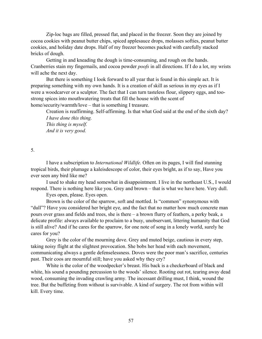Zip-loc bags are filled, pressed flat, and placed in the freezer. Soon they are joined by cocoa cookies with peanut butter chips, spiced applesauce drops, molasses softies, peanut butter cookies, and holiday date drops. Half of my freezer becomes packed with carefully stacked bricks of dough.

Getting in and kneading the dough is time-consuming, and rough on the hands. Cranberries stain my fingernails, and cocoa powder *poofs* in all directions. If I do a lot, my wrists will ache the next day.

But there is something I look forward to all year that is found in this simple act. It is preparing something with my own hands. It is a creation of skill as serious in my eyes as if I were a woodcarver or a sculptor. The fact that I can turn tasteless flour, slippery eggs, and toostrong spices into mouthwatering treats that fill the house with the scent of home/security/warmth/love – that is something I treasure.

Creation is reaffirming. Self-affirming. Is that what God said at the end of the sixth day? *I have done this thing. This thing is myself.* 

*And it is very good.* 

#### 5.

I have a subscription to *International Wildlife.* Often on its pages, I will find stunning tropical birds, their plumage a kaleisdescope of color, their eyes bright, as if to say, Have you ever seen any bird like me?

I used to shake my head somewhat in disappointment. I live in the northeast U.S., I would respond. There is nothing here like you. Grey and brown – that is what we have here. Very dull.

Eyes open, please. Eyes open.

Brown is the color of the sparrow, soft and mottled. Is "common" synonymous with "dull"? Have you considered her bright eye, and the fact that no matter how much concrete man pours over grass and fields and trees, she is there – a brown flurry of feathers, a perky beak, a delicate profile: always available to proclaim to a busy, unobservant, littering humanity that God is still alive? And if he cares for the sparrow, for one note of song in a lonely world, surely he cares for you?

Grey is the color of the mourning dove. Grey and muted beige, cautious in every step, taking noisy flight at the slightest provocation. She bobs her head with each movement, communicating always a gentle defenselessness. Doves were the poor man's sacrifice, centuries past. Their coos are mournful still; have you asked why they cry?

White is the color of the woodpecker's breast. His back is a checkerboard of black and white, his sound a pounding percussion to the woods' silence. Rooting out rot, tearing away dead wood, consuming the invading crawling army. The incessant drilling must, I think, wound the tree. But the buffeting from without is survivable. A kind of surgery. The rot from within will kill. Every time.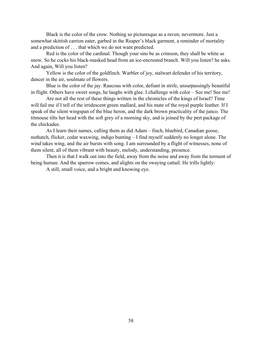Black is the color of the crow. Nothing so picturesque as a raven; nevermore. Just a somewhat skittish carrion eater, garbed in the Reaper's black garment, a reminder of mortality and a prediction of . . . that which we do not want predicted.

Red is the color of the cardinal. Though your sins be as crimson, they shall be white as snow. So he cocks his black-masked head from an ice-encrusted branch. Will you listen? he asks. And again, Will you listen?

Yellow is the color of the goldfinch. Warbler of joy, stalwart defender of his territory, dancer in the air, soulmate of flowers.

Blue is the color of the jay. Raucous with color, defiant in strife, unsurpassingly beautiful in flight. Others have sweet songs, he laughs with glee. I challenge with color – See me! See me!

Are not all the rest of these things written in the chronicles of the kings of Israel? Time will fail me if I tell of the irridescent green mallard, and his mate of the royal purple feather. If I speak of the silent wingspan of the blue heron, and the dark brown practicality of the junco. The titmouse tilts her head with the soft grey of a morning sky, and is joined by the pert package of the chickadee.

As I learn their names, calling them as did Adam – finch, bluebird, Canadian goose, nuthatch, flicker, cedar waxwing, indigo bunting – I find myself suddenly no longer alone. The wind takes wing, and the air bursts with song. I am surrounded by a flight of witnesses, none of them silent, all of them vibrant with beauty, melody, understanding, presence.

Then it is that I walk out into the field, away from the noise and away from the torment of being human. And the sparrow comes, and alights on the swaying cattail. He trills lightly:

A still, small voice, and a bright and knowing eye.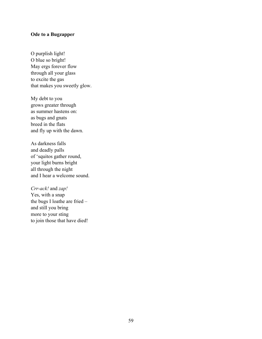## **Ode to a Bugzapper**

O purplish light! O blue so bright! May ergs forever flow through all your glass to excite the gas that makes you sweetly glow.

My debt to you grows greater through as summer hastens on: as bugs and gnats breed in the flats and fly up with the dawn.

As darkness falls and deadly palls of 'squitos gather round, your light burns bright all through the night and I hear a welcome sound.

*Crr-ack!* and *zap!* Yes, with a snap the bugs I loathe are fried – and still you bring more to your sting to join those that have died!